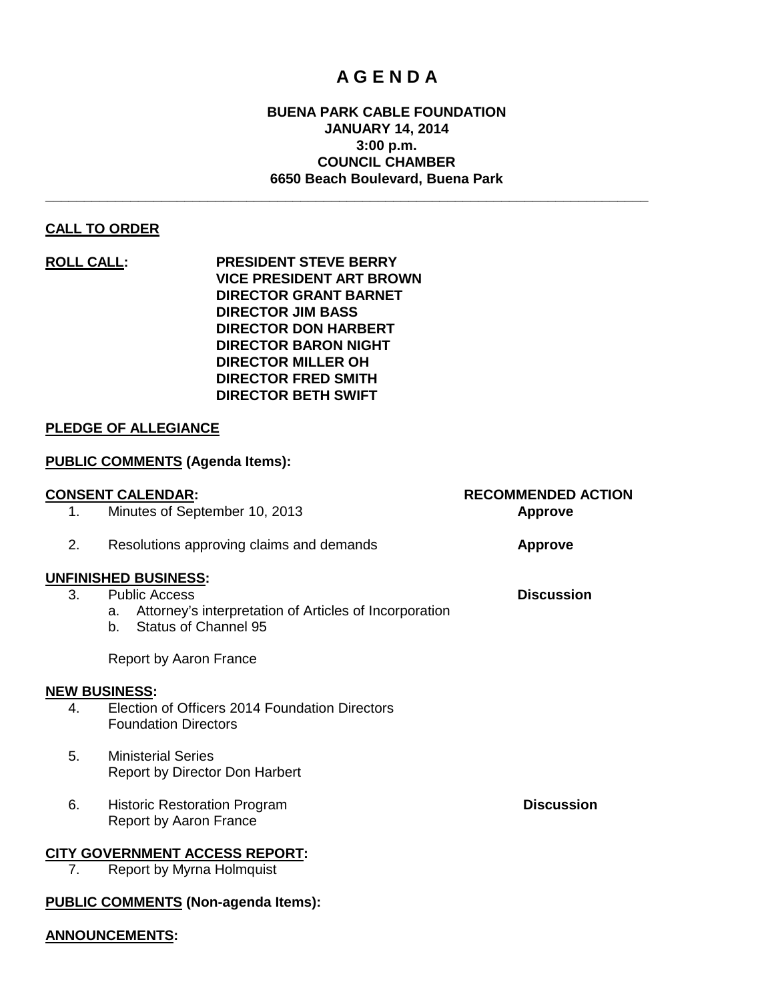# **A G E N D A**

# **BUENA PARK CABLE FOUNDATION JANUARY 14, 2014 3:00 p.m. COUNCIL CHAMBER 6650 Beach Boulevard, Buena Park**

**\_\_\_\_\_\_\_\_\_\_\_\_\_\_\_\_\_\_\_\_\_\_\_\_\_\_\_\_\_\_\_\_\_\_\_\_\_\_\_\_\_\_\_\_\_\_\_\_\_\_\_\_\_\_\_\_\_\_\_\_\_\_\_\_\_\_\_\_\_\_\_\_\_\_\_\_\_\_**

# **CALL TO ORDER**

**ROLL CALL: PRESIDENT STEVE BERRY VICE PRESIDENT ART BROWN DIRECTOR GRANT BARNET DIRECTOR JIM BASS DIRECTOR DON HARBERT DIRECTOR BARON NIGHT DIRECTOR MILLER OH DIRECTOR FRED SMITH DIRECTOR BETH SWIFT**

# **PLEDGE OF ALLEGIANCE**

# **PUBLIC COMMENTS (Agenda Items):**

|    | <b>CONSENT CALENDAR:</b>                                                                          | <b>RECOMMENDED ACTION</b> |
|----|---------------------------------------------------------------------------------------------------|---------------------------|
| 1. | Minutes of September 10, 2013                                                                     | <b>Approve</b>            |
| 2. | Resolutions approving claims and demands                                                          | <b>Approve</b>            |
|    | <b>UNFINISHED BUSINESS:</b>                                                                       |                           |
| 3. | <b>Public Access</b>                                                                              | <b>Discussion</b>         |
|    | Attorney's interpretation of Articles of Incorporation<br>a.<br><b>Status of Channel 95</b><br>b. |                           |
|    | Report by Aaron France                                                                            |                           |
|    | <b>NEW BUSINESS:</b>                                                                              |                           |
| 4. | Election of Officers 2014 Foundation Directors<br><b>Foundation Directors</b>                     |                           |
| 5. | <b>Ministerial Series</b>                                                                         |                           |
|    | <b>Report by Director Don Harbert</b>                                                             |                           |
| 6. | <b>Historic Restoration Program</b>                                                               | <b>Discussion</b>         |
|    | Report by Aaron France                                                                            |                           |
|    | <b>CITY GOVERNMENT ACCESS REPORT:</b>                                                             |                           |
| 7. | Report by Myrna Holmquist                                                                         |                           |
|    | <b>PUBLIC COMMENTS (Non-agenda Items):</b>                                                        |                           |
|    |                                                                                                   |                           |

#### **ANNOUNCEMENTS:**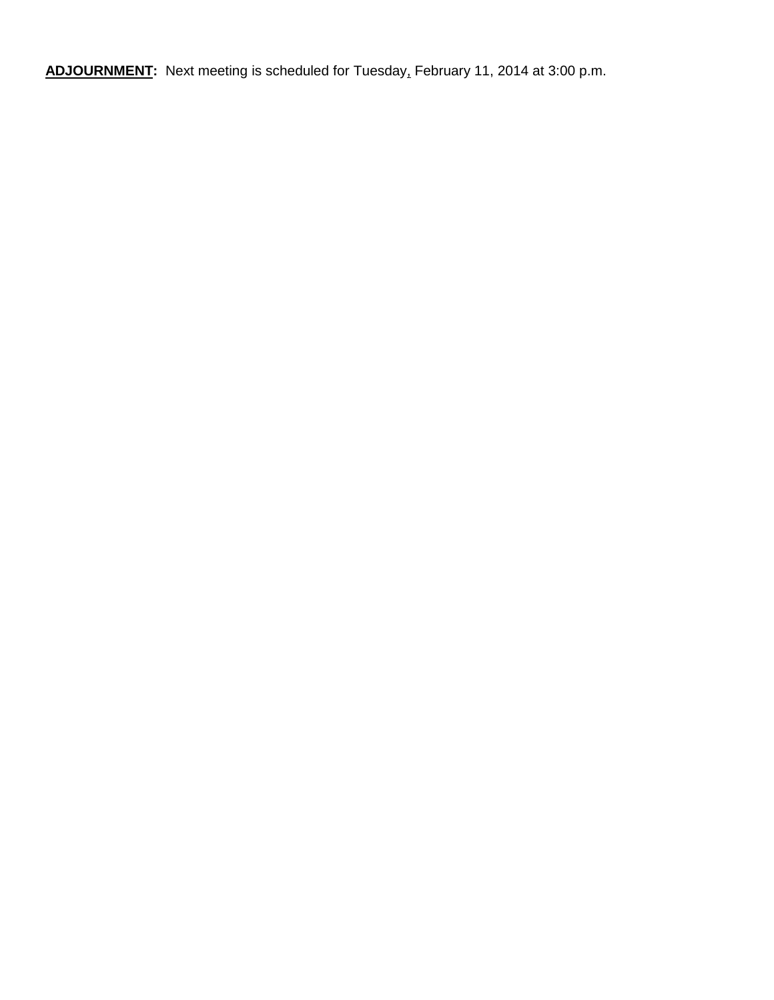**ADJOURNMENT:** Next meeting is scheduled for Tuesday, February 11, 2014 at 3:00 p.m.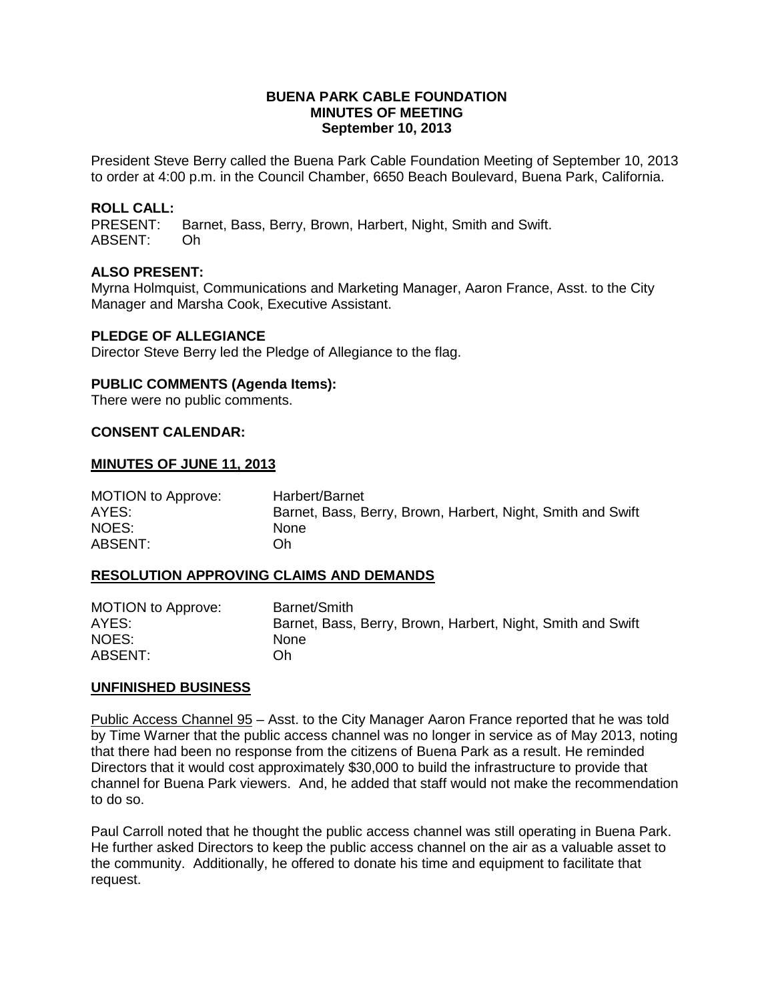#### **BUENA PARK CABLE FOUNDATION MINUTES OF MEETING September 10, 2013**

President Steve Berry called the Buena Park Cable Foundation Meeting of September 10, 2013 to order at 4:00 p.m. in the Council Chamber, 6650 Beach Boulevard, Buena Park, California.

# **ROLL CALL:**

Barnet, Bass, Berry, Brown, Harbert, Night, Smith and Swift. ABSENT: Oh

# **ALSO PRESENT:**

Myrna Holmquist, Communications and Marketing Manager, Aaron France, Asst. to the City Manager and Marsha Cook, Executive Assistant.

#### **PLEDGE OF ALLEGIANCE**

Director Steve Berry led the Pledge of Allegiance to the flag.

#### **PUBLIC COMMENTS (Agenda Items):**

There were no public comments.

#### **CONSENT CALENDAR:**

#### **MINUTES OF JUNE 11, 2013**

MOTION to Approve: Harbert/Barnet AYES: Barnet, Bass, Berry, Brown, Harbert, Night, Smith and Swift NOES: None ABSENT: Oh

#### **RESOLUTION APPROVING CLAIMS AND DEMANDS**

| MOTION to Approve: | Barnet/Smith                                                |
|--------------------|-------------------------------------------------------------|
| AYES:              | Barnet, Bass, Berry, Brown, Harbert, Night, Smith and Swift |
| NOES:              | <b>None</b>                                                 |
| ABSENT:            | Oh.                                                         |

#### **UNFINISHED BUSINESS**

Public Access Channel 95 – Asst. to the City Manager Aaron France reported that he was told by Time Warner that the public access channel was no longer in service as of May 2013, noting that there had been no response from the citizens of Buena Park as a result. He reminded Directors that it would cost approximately \$30,000 to build the infrastructure to provide that channel for Buena Park viewers. And, he added that staff would not make the recommendation to do so.

Paul Carroll noted that he thought the public access channel was still operating in Buena Park. He further asked Directors to keep the public access channel on the air as a valuable asset to the community. Additionally, he offered to donate his time and equipment to facilitate that request.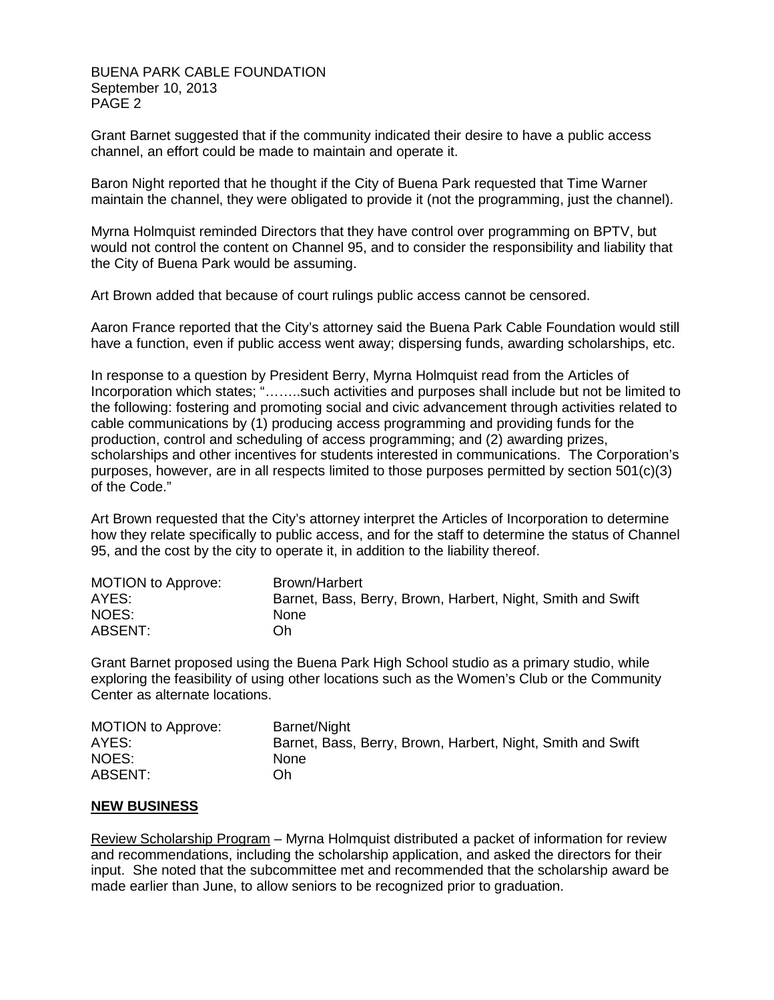BUENA PARK CABLE FOUNDATION September 10, 2013 PAGE 2

Grant Barnet suggested that if the community indicated their desire to have a public access channel, an effort could be made to maintain and operate it.

Baron Night reported that he thought if the City of Buena Park requested that Time Warner maintain the channel, they were obligated to provide it (not the programming, just the channel).

Myrna Holmquist reminded Directors that they have control over programming on BPTV, but would not control the content on Channel 95, and to consider the responsibility and liability that the City of Buena Park would be assuming.

Art Brown added that because of court rulings public access cannot be censored.

Aaron France reported that the City's attorney said the Buena Park Cable Foundation would still have a function, even if public access went away; dispersing funds, awarding scholarships, etc.

In response to a question by President Berry, Myrna Holmquist read from the Articles of Incorporation which states; "……..such activities and purposes shall include but not be limited to the following: fostering and promoting social and civic advancement through activities related to cable communications by (1) producing access programming and providing funds for the production, control and scheduling of access programming; and (2) awarding prizes, scholarships and other incentives for students interested in communications. The Corporation's purposes, however, are in all respects limited to those purposes permitted by section 501(c)(3) of the Code."

Art Brown requested that the City's attorney interpret the Articles of Incorporation to determine how they relate specifically to public access, and for the staff to determine the status of Channel 95, and the cost by the city to operate it, in addition to the liability thereof.

| <b>MOTION to Approve:</b> | Brown/Harbert                                               |
|---------------------------|-------------------------------------------------------------|
| AYES:                     | Barnet, Bass, Berry, Brown, Harbert, Night, Smith and Swift |
| NOES:                     | <b>None</b>                                                 |
| ABSENT:                   | Ωh                                                          |

Grant Barnet proposed using the Buena Park High School studio as a primary studio, while exploring the feasibility of using other locations such as the Women's Club or the Community Center as alternate locations.

| <b>MOTION to Approve:</b> | Barnet/Night                                                |
|---------------------------|-------------------------------------------------------------|
| AYES:                     | Barnet, Bass, Berry, Brown, Harbert, Night, Smith and Swift |
| NOES:                     | <b>None</b>                                                 |
| ABSENT:                   | Oh                                                          |

#### **NEW BUSINESS**

Review Scholarship Program – Myrna Holmquist distributed a packet of information for review and recommendations, including the scholarship application, and asked the directors for their input. She noted that the subcommittee met and recommended that the scholarship award be made earlier than June, to allow seniors to be recognized prior to graduation.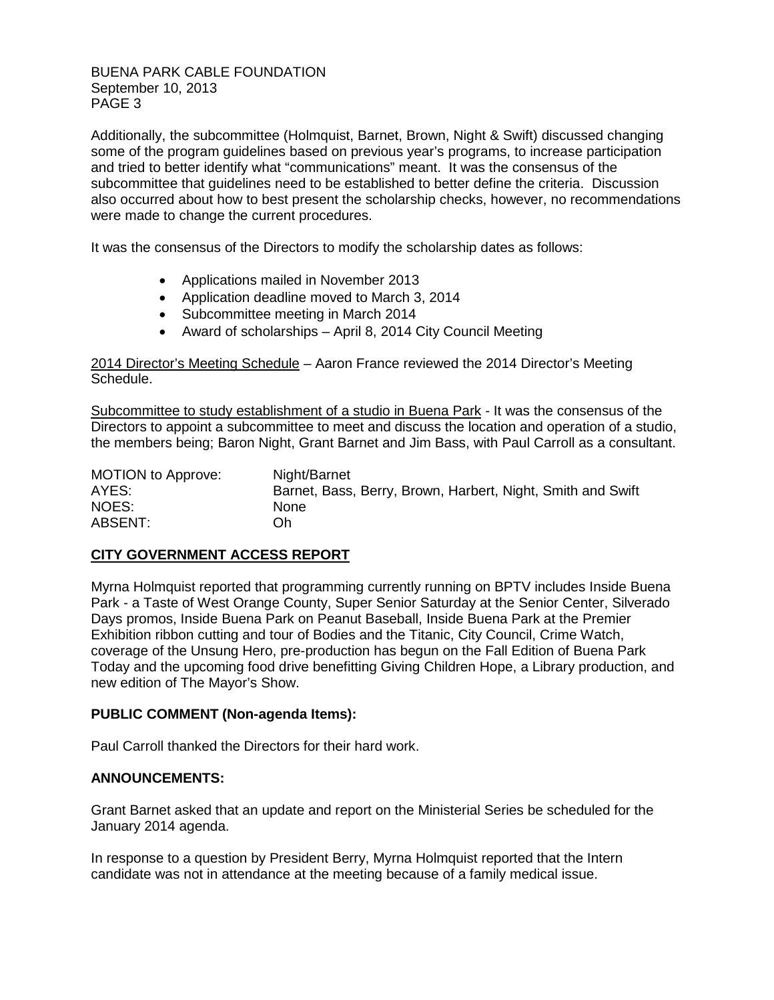BUENA PARK CABLE FOUNDATION September 10, 2013 PAGE 3

Additionally, the subcommittee (Holmquist, Barnet, Brown, Night & Swift) discussed changing some of the program guidelines based on previous year's programs, to increase participation and tried to better identify what "communications" meant. It was the consensus of the subcommittee that guidelines need to be established to better define the criteria. Discussion also occurred about how to best present the scholarship checks, however, no recommendations were made to change the current procedures.

It was the consensus of the Directors to modify the scholarship dates as follows:

- Applications mailed in November 2013
- Application deadline moved to March 3, 2014
- Subcommittee meeting in March 2014
- Award of scholarships April 8, 2014 City Council Meeting

2014 Director's Meeting Schedule – Aaron France reviewed the 2014 Director's Meeting Schedule.

Subcommittee to study establishment of a studio in Buena Park - It was the consensus of the Directors to appoint a subcommittee to meet and discuss the location and operation of a studio, the members being; Baron Night, Grant Barnet and Jim Bass, with Paul Carroll as a consultant.

| <b>MOTION to Approve:</b> | Night/Barnet                                                |
|---------------------------|-------------------------------------------------------------|
| AYES:                     | Barnet, Bass, Berry, Brown, Harbert, Night, Smith and Swift |
| NOES:                     | None                                                        |
| ABSENT:                   | Oh                                                          |

# **CITY GOVERNMENT ACCESS REPORT**

Myrna Holmquist reported that programming currently running on BPTV includes Inside Buena Park - a Taste of West Orange County, Super Senior Saturday at the Senior Center, Silverado Days promos, Inside Buena Park on Peanut Baseball, Inside Buena Park at the Premier Exhibition ribbon cutting and tour of Bodies and the Titanic, City Council, Crime Watch, coverage of the Unsung Hero, pre-production has begun on the Fall Edition of Buena Park Today and the upcoming food drive benefitting Giving Children Hope, a Library production, and new edition of The Mayor's Show.

#### **PUBLIC COMMENT (Non-agenda Items):**

Paul Carroll thanked the Directors for their hard work.

#### **ANNOUNCEMENTS:**

Grant Barnet asked that an update and report on the Ministerial Series be scheduled for the January 2014 agenda.

In response to a question by President Berry, Myrna Holmquist reported that the Intern candidate was not in attendance at the meeting because of a family medical issue.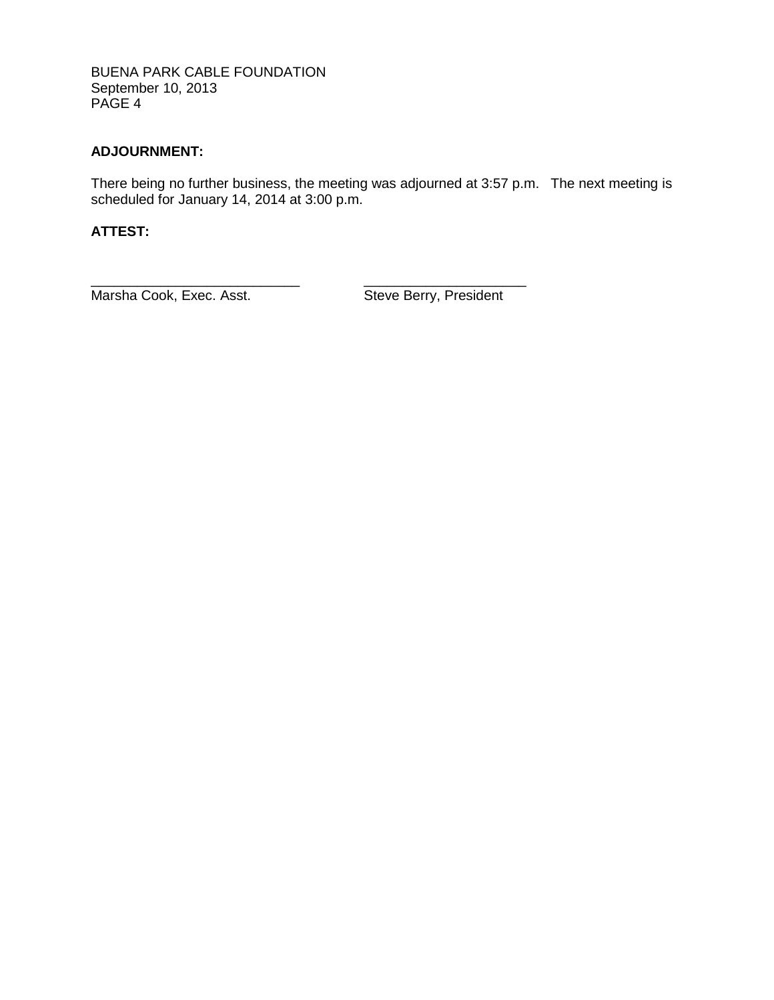BUENA PARK CABLE FOUNDATION September 10, 2013 PAGE 4

# **ADJOURNMENT:**

There being no further business, the meeting was adjourned at 3:57 p.m. The next meeting is scheduled for January 14, 2014 at 3:00 p.m.

# **ATTEST:**

\_\_\_\_\_\_\_\_\_\_\_\_\_\_\_\_\_\_\_\_\_\_\_\_\_\_\_ \_\_\_\_\_\_\_\_\_\_\_\_\_\_\_\_\_\_\_\_\_ Marsha Cook, Exec. Asst. Steve Berry, President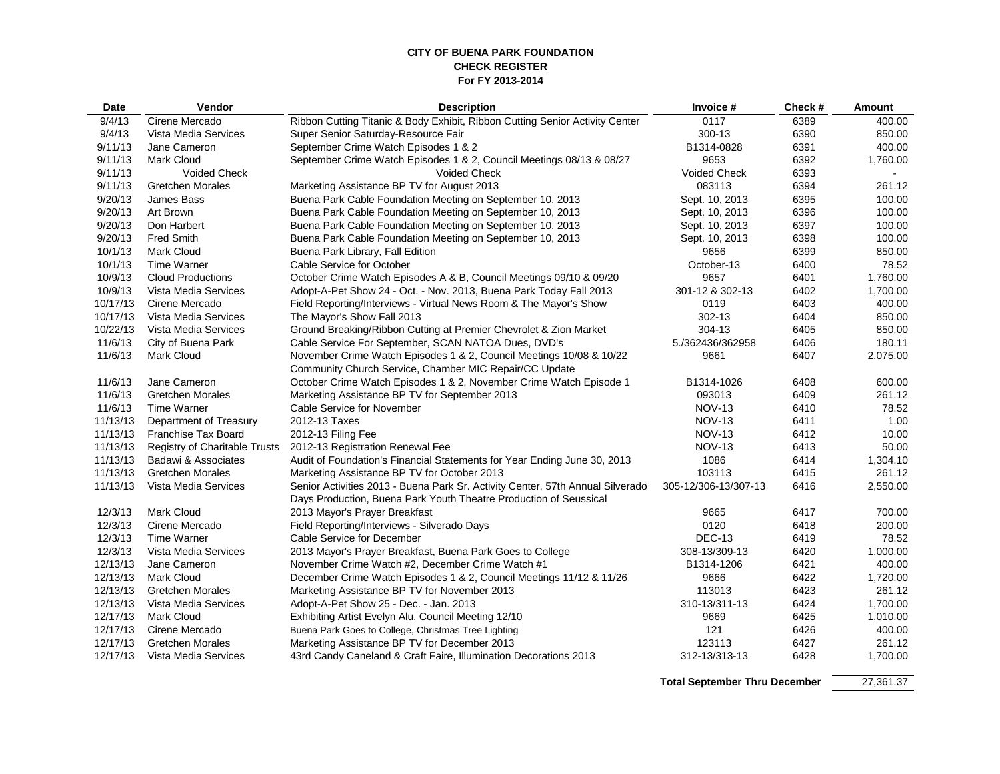#### **CITY OF BUENA PARK FOUNDATION CHECK REGISTER For FY 2013-2014**

| Date     | <b>Vendor</b>                 | <b>Description</b>                                                             | Invoice #            | Check # | <b>Amount</b> |
|----------|-------------------------------|--------------------------------------------------------------------------------|----------------------|---------|---------------|
| 9/4/13   | Cirene Mercado                | Ribbon Cutting Titanic & Body Exhibit, Ribbon Cutting Senior Activity Center   | 0117                 | 6389    | 400.00        |
| 9/4/13   | Vista Media Services          | Super Senior Saturday-Resource Fair                                            | 300-13               | 6390    | 850.00        |
| 9/11/13  | Jane Cameron                  | September Crime Watch Episodes 1 & 2                                           | B1314-0828           | 6391    | 400.00        |
| 9/11/13  | <b>Mark Cloud</b>             | September Crime Watch Episodes 1 & 2, Council Meetings 08/13 & 08/27           | 9653                 | 6392    | 1,760.00      |
| 9/11/13  | <b>Voided Check</b>           | <b>Voided Check</b>                                                            | <b>Voided Check</b>  | 6393    |               |
| 9/11/13  | <b>Gretchen Morales</b>       | Marketing Assistance BP TV for August 2013                                     | 083113               | 6394    | 261.12        |
| 9/20/13  | James Bass                    | Buena Park Cable Foundation Meeting on September 10, 2013                      | Sept. 10, 2013       | 6395    | 100.00        |
| 9/20/13  | Art Brown                     | Buena Park Cable Foundation Meeting on September 10, 2013                      | Sept. 10, 2013       | 6396    | 100.00        |
| 9/20/13  | Don Harbert                   | Buena Park Cable Foundation Meeting on September 10, 2013                      | Sept. 10, 2013       | 6397    | 100.00        |
| 9/20/13  | <b>Fred Smith</b>             | Buena Park Cable Foundation Meeting on September 10, 2013                      | Sept. 10, 2013       | 6398    | 100.00        |
| 10/1/13  | <b>Mark Cloud</b>             | Buena Park Library, Fall Edition                                               | 9656                 | 6399    | 850.00        |
| 10/1/13  | Time Warner                   | Cable Service for October                                                      | October-13           | 6400    | 78.52         |
| 10/9/13  | <b>Cloud Productions</b>      | October Crime Watch Episodes A & B, Council Meetings 09/10 & 09/20             | 9657                 | 6401    | 1,760.00      |
| 10/9/13  | Vista Media Services          | Adopt-A-Pet Show 24 - Oct. - Nov. 2013, Buena Park Today Fall 2013             | 301-12 & 302-13      | 6402    | 1,700.00      |
| 10/17/13 | Cirene Mercado                | Field Reporting/Interviews - Virtual News Room & The Mayor's Show              | 0119                 | 6403    | 400.00        |
| 10/17/13 | Vista Media Services          | The Mayor's Show Fall 2013                                                     | 302-13               | 6404    | 850.00        |
| 10/22/13 | Vista Media Services          | Ground Breaking/Ribbon Cutting at Premier Chevrolet & Zion Market              | 304-13               | 6405    | 850.00        |
| 11/6/13  | City of Buena Park            | Cable Service For September, SCAN NATOA Dues, DVD's                            | 5./362436/362958     | 6406    | 180.11        |
| 11/6/13  | <b>Mark Cloud</b>             | November Crime Watch Episodes 1 & 2, Council Meetings 10/08 & 10/22            | 9661                 | 6407    | 2,075.00      |
|          |                               | Community Church Service, Chamber MIC Repair/CC Update                         |                      |         |               |
| 11/6/13  | Jane Cameron                  | October Crime Watch Episodes 1 & 2, November Crime Watch Episode 1             | B1314-1026           | 6408    | 600.00        |
| 11/6/13  | <b>Gretchen Morales</b>       | Marketing Assistance BP TV for September 2013                                  | 093013               | 6409    | 261.12        |
| 11/6/13  | <b>Time Warner</b>            | Cable Service for November                                                     | <b>NOV-13</b>        | 6410    | 78.52         |
| 11/13/13 | Department of Treasury        | 2012-13 Taxes                                                                  | <b>NOV-13</b>        | 6411    | 1.00          |
| 11/13/13 | <b>Franchise Tax Board</b>    | 2012-13 Filing Fee                                                             | <b>NOV-13</b>        | 6412    | 10.00         |
| 11/13/13 | Registry of Charitable Trusts | 2012-13 Registration Renewal Fee                                               | <b>NOV-13</b>        | 6413    | 50.00         |
| 11/13/13 | Badawi & Associates           | Audit of Foundation's Financial Statements for Year Ending June 30, 2013       | 1086                 | 6414    | 1,304.10      |
| 11/13/13 | <b>Gretchen Morales</b>       | Marketing Assistance BP TV for October 2013                                    | 103113               | 6415    | 261.12        |
| 11/13/13 | Vista Media Services          | Senior Activities 2013 - Buena Park Sr. Activity Center, 57th Annual Silverado | 305-12/306-13/307-13 | 6416    | 2,550.00      |
|          |                               | Days Production, Buena Park Youth Theatre Production of Seussical              |                      |         |               |
| 12/3/13  | <b>Mark Cloud</b>             | 2013 Mayor's Prayer Breakfast                                                  | 9665                 | 6417    | 700.00        |
| 12/3/13  | Cirene Mercado                | Field Reporting/Interviews - Silverado Days                                    | 0120                 | 6418    | 200.00        |
| 12/3/13  | <b>Time Warner</b>            | Cable Service for December                                                     | <b>DEC-13</b>        | 6419    | 78.52         |
| 12/3/13  | Vista Media Services          | 2013 Mayor's Prayer Breakfast, Buena Park Goes to College                      | 308-13/309-13        | 6420    | 1,000.00      |
| 12/13/13 | Jane Cameron                  | November Crime Watch #2, December Crime Watch #1                               | B1314-1206           | 6421    | 400.00        |
| 12/13/13 | <b>Mark Cloud</b>             | December Crime Watch Episodes 1 & 2, Council Meetings 11/12 & 11/26            | 9666                 | 6422    | 1,720.00      |
| 12/13/13 | <b>Gretchen Morales</b>       | Marketing Assistance BP TV for November 2013                                   | 113013               | 6423    | 261.12        |
| 12/13/13 | Vista Media Services          | Adopt-A-Pet Show 25 - Dec. - Jan. 2013                                         | 310-13/311-13        | 6424    | 1,700.00      |
| 12/17/13 | <b>Mark Cloud</b>             | Exhibiting Artist Evelyn Alu, Council Meeting 12/10                            | 9669                 | 6425    | 1,010.00      |
| 12/17/13 | Cirene Mercado                | Buena Park Goes to College, Christmas Tree Lighting                            | 121                  | 6426    | 400.00        |
| 12/17/13 | <b>Gretchen Morales</b>       | Marketing Assistance BP TV for December 2013                                   | 123113               | 6427    | 261.12        |
| 12/17/13 | Vista Media Services          | 43rd Candy Caneland & Craft Faire, Illumination Decorations 2013               | 312-13/313-13        | 6428    | 1,700.00      |
|          |                               |                                                                                |                      |         |               |

Total September Thru December 27,361.37